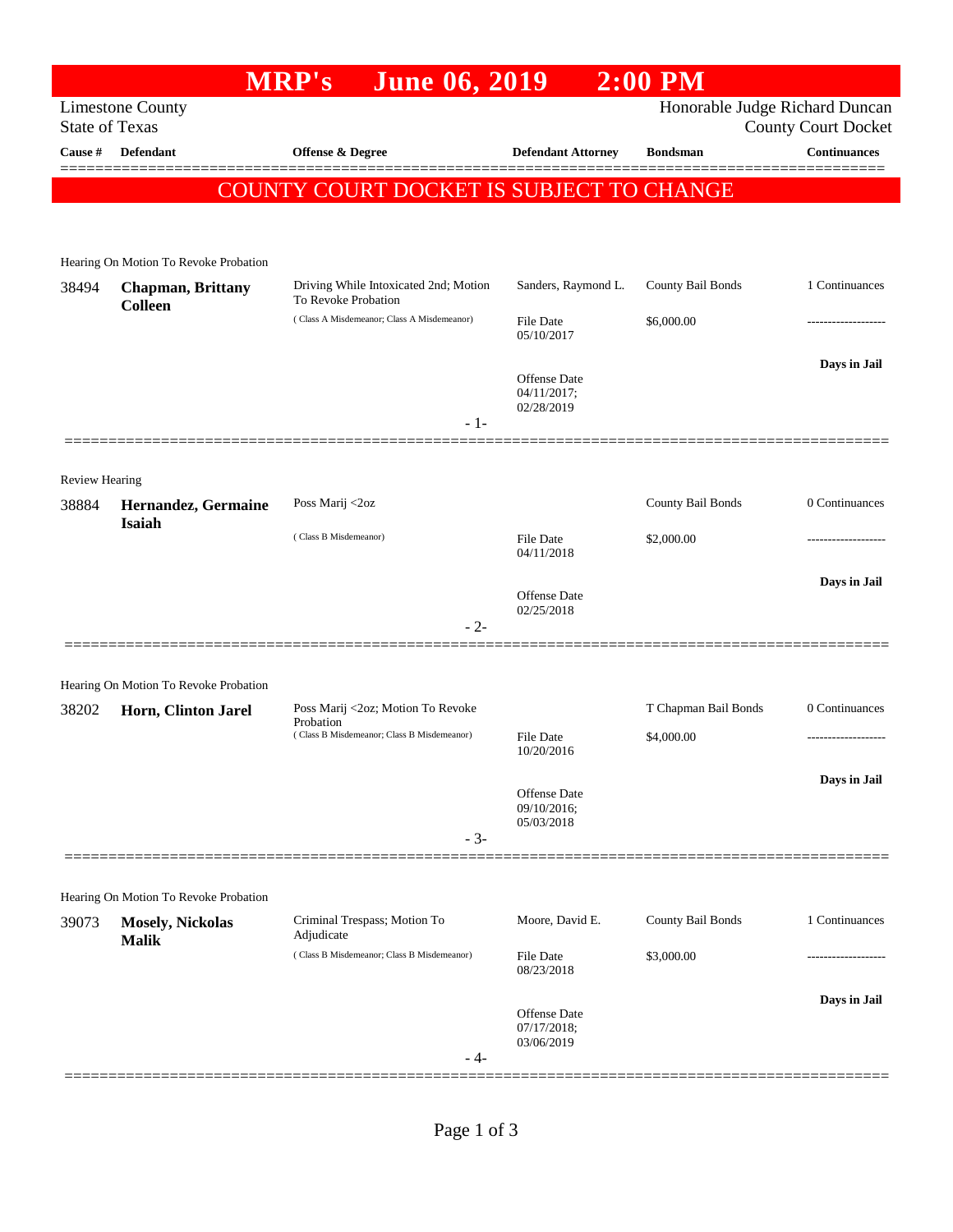## **MRP's June 06, 2019 2:00 PM** Limestone County Honorable Judge Richard Duncan State of Texas County Court Docket **Cause # Defendant Offense & Degree Defendant Attorney Bondsman Continuances** ============================================================================================== COUNTY COURT DOCKET IS SUBJECT TO CHANGE Hearing On Motion To Revoke Probation 38494 **Chapman, Brittany Colleen** Driving While Intoxicated 2nd; Motion To Revoke Probation Sanders, Raymond L. County Bail Bonds 1 Continuances ( Class A Misdemeanor; Class A Misdemeanor) File Date \$6,000.00 05/10/2017 **Days in Jail**  Offense Date 04/11/2017; 02/28/2019 - 1- ============================================================================================== Review Hearing 38884 **Hernandez, Germaine Isaiah** Poss Marij <2oz County Bail Bonds 0 Continuances  $( Class B M isdemeanor)$  File Date  $$2,000.00$ 04/11/2018 **Days in Jail**  Offense Date 02/25/2018 - 2- ============================================================================================== Hearing On Motion To Revoke Probation 38202 **Horn, Clinton Jarel** Poss Marij <2oz; Motion To Revoke Probation T Chapman Bail Bonds 0 Continuances  $( Class B Misdemeanor; Class B Misdemeanor)$  File Date  $$4,000.00$ 10/20/2016 **Days in Jail**  Offense Date 09/10/2016; 05/03/2018 - 3- ============================================================================================== Hearing On Motion To Revoke Probation 39073 **Mosely, Nickolas Malik** Criminal Trespass; Motion To Adjudicate Moore, David E. County Bail Bonds 1 Continuances ( Class B Misdemeanor; Class B Misdemeanor) File Date \$3,000.00 08/23/2018 **Days in Jail**  Offense Date 07/17/2018; 03/06/2019 - 4- ==============================================================================================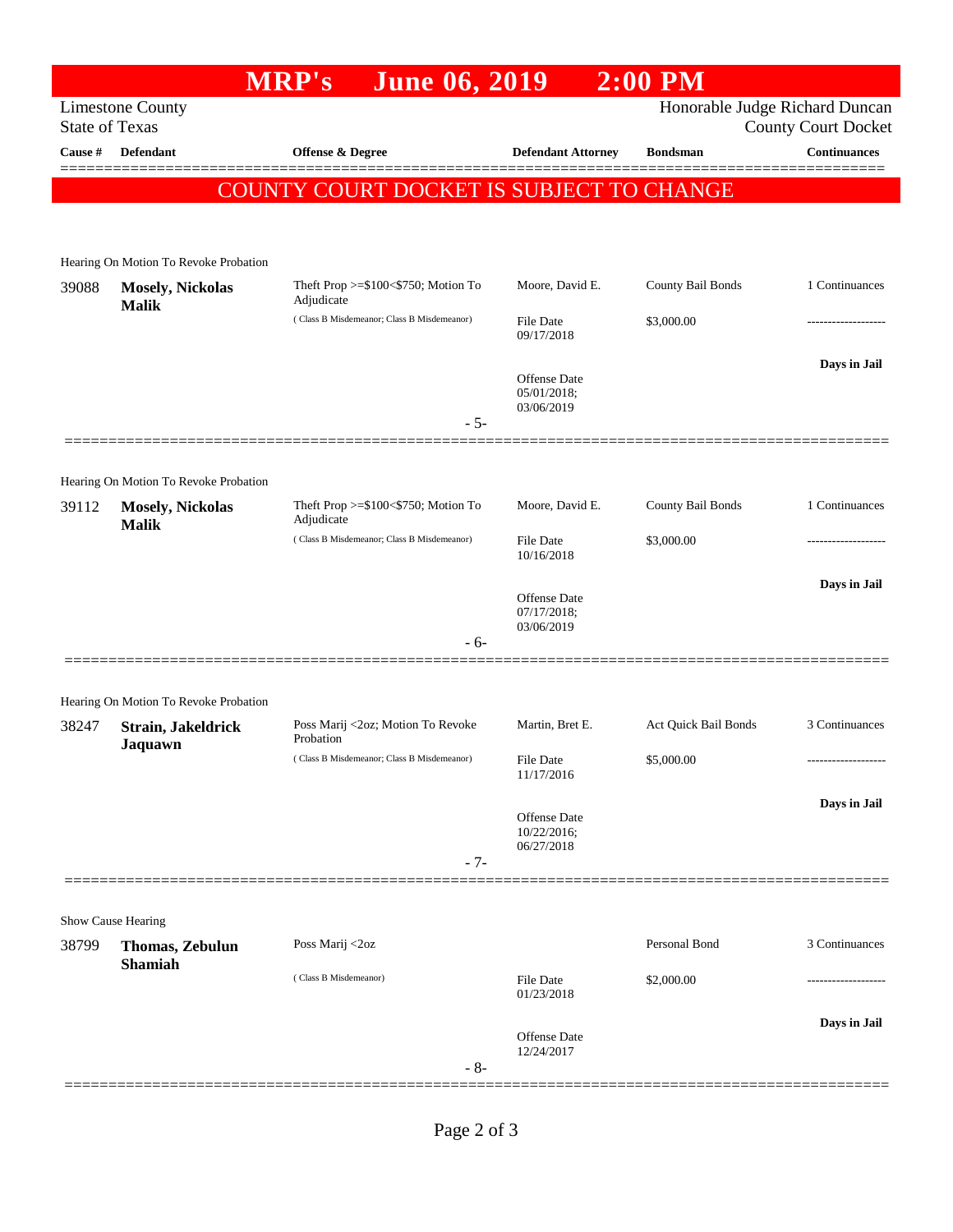|                                                  |                                         | <b>MRP's</b><br><b>June 06, 2019</b>                 |                                | <b>2:00 PM</b>                 |                            |
|--------------------------------------------------|-----------------------------------------|------------------------------------------------------|--------------------------------|--------------------------------|----------------------------|
| <b>Limestone County</b><br><b>State of Texas</b> |                                         |                                                      |                                | Honorable Judge Richard Duncan | <b>County Court Docket</b> |
| Cause #                                          | <b>Defendant</b>                        | Offense & Degree                                     | <b>Defendant Attorney</b>      | <b>Bondsman</b>                | <b>Continuances</b>        |
|                                                  |                                         | <b>COUNTY COURT DOCKET IS SUBJECT TO CHANGE</b>      |                                |                                |                            |
|                                                  |                                         |                                                      |                                |                                |                            |
|                                                  | Hearing On Motion To Revoke Probation   |                                                      |                                |                                |                            |
| 39088                                            | <b>Mosely, Nickolas</b><br><b>Malik</b> | Theft Prop $>=\$100<\$750$ ; Motion To<br>Adjudicate | Moore, David E.                | County Bail Bonds              | 1 Continuances             |
|                                                  |                                         | (Class B Misdemeanor; Class B Misdemeanor)           | File Date<br>09/17/2018        | \$3,000.00                     |                            |
|                                                  |                                         |                                                      | Offense Date<br>05/01/2018;    |                                | Days in Jail               |
|                                                  |                                         |                                                      | 03/06/2019                     |                                |                            |
|                                                  |                                         | $-5-$                                                |                                |                                |                            |
|                                                  | Hearing On Motion To Revoke Probation   |                                                      |                                |                                |                            |
| 39112                                            | <b>Mosely, Nickolas</b><br><b>Malik</b> | Theft Prop >=\$100<\$750; Motion To<br>Adjudicate    | Moore, David E.                | County Bail Bonds              | 1 Continuances             |
|                                                  |                                         | (Class B Misdemeanor; Class B Misdemeanor)           | <b>File Date</b><br>10/16/2018 | \$3,000.00                     | .                          |
|                                                  |                                         |                                                      | Offense Date<br>07/17/2018;    |                                | Days in Jail               |
|                                                  |                                         | $-6-$                                                | 03/06/2019                     |                                |                            |
|                                                  |                                         |                                                      |                                |                                |                            |
|                                                  | Hearing On Motion To Revoke Probation   |                                                      |                                |                                |                            |
| 38247                                            | Strain, Jakeldrick<br>Jaquawn           | Poss Marij <2oz; Motion To Revoke<br>Probation       | Martin, Bret E.                | Act Quick Bail Bonds           | 3 Continuances             |
|                                                  |                                         | (Class B Misdemeanor; Class B Misdemeanor)           | File Date<br>11/17/2016        | \$5,000.00                     |                            |
|                                                  |                                         |                                                      | Offense Date<br>10/22/2016;    |                                | Days in Jail               |
|                                                  |                                         | $-7-$                                                | 06/27/2018                     |                                |                            |
|                                                  | Show Cause Hearing                      |                                                      |                                |                                |                            |
| 38799                                            | Thomas, Zebulun<br><b>Shamiah</b>       | Poss Marij <2oz                                      |                                | Personal Bond                  | 3 Continuances             |
|                                                  |                                         | (Class B Misdemeanor)                                | File Date<br>01/23/2018        | \$2,000.00                     |                            |
|                                                  |                                         | $-8-$                                                | Offense Date<br>12/24/2017     |                                | Days in Jail               |